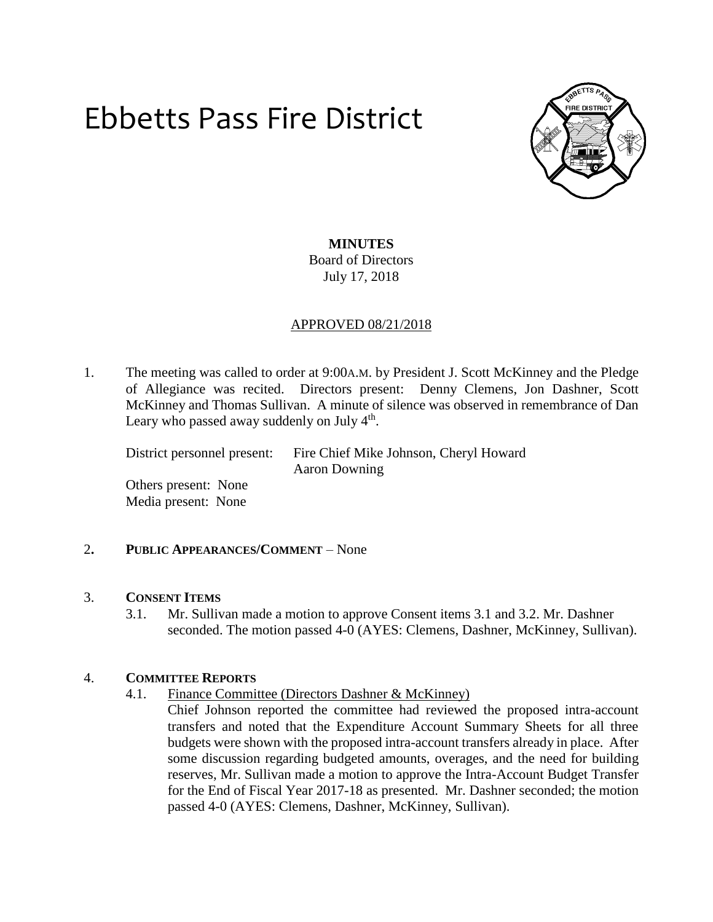# Ebbetts Pass Fire District



# **MINUTES** Board of Directors July 17, 2018

# APPROVED 08/21/2018

1. The meeting was called to order at 9:00A.M. by President J. Scott McKinney and the Pledge of Allegiance was recited. Directors present: Denny Clemens, Jon Dashner, Scott McKinney and Thomas Sullivan. A minute of silence was observed in remembrance of Dan Leary who passed away suddenly on July 4<sup>th</sup>.

District personnel present: Fire Chief Mike Johnson, Cheryl Howard Aaron Downing

Others present: None Media present: None

## 2**. PUBLIC APPEARANCES/COMMENT** – None

## 3. **CONSENT ITEMS**

3.1. Mr. Sullivan made a motion to approve Consent items 3.1 and 3.2. Mr. Dashner seconded. The motion passed 4-0 (AYES: Clemens, Dashner, McKinney, Sullivan).

## 4. **COMMITTEE REPORTS**

- 4.1. Finance Committee (Directors Dashner & McKinney)
	- Chief Johnson reported the committee had reviewed the proposed intra-account transfers and noted that the Expenditure Account Summary Sheets for all three budgets were shown with the proposed intra-account transfers already in place. After some discussion regarding budgeted amounts, overages, and the need for building reserves, Mr. Sullivan made a motion to approve the Intra-Account Budget Transfer for the End of Fiscal Year 2017-18 as presented. Mr. Dashner seconded; the motion passed 4-0 (AYES: Clemens, Dashner, McKinney, Sullivan).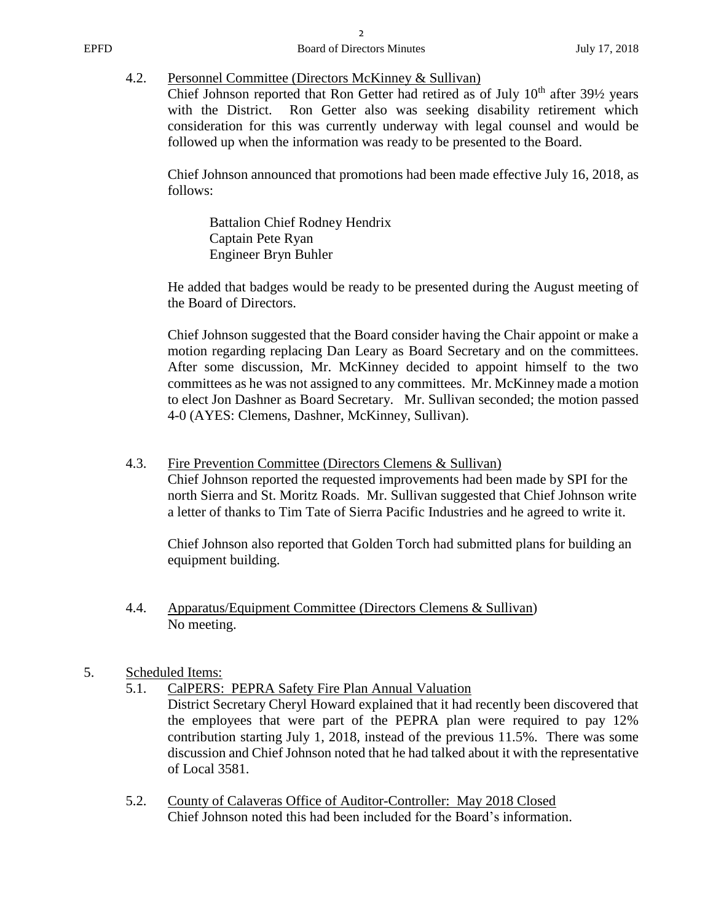## 4.2. Personnel Committee (Directors McKinney & Sullivan)

Chief Johnson reported that Ron Getter had retired as of July  $10<sup>th</sup>$  after 39<sup>1</sup>/<sub>2</sub> years with the District. Ron Getter also was seeking disability retirement which consideration for this was currently underway with legal counsel and would be followed up when the information was ready to be presented to the Board.

Chief Johnson announced that promotions had been made effective July 16, 2018, as follows:

Battalion Chief Rodney Hendrix Captain Pete Ryan Engineer Bryn Buhler

He added that badges would be ready to be presented during the August meeting of the Board of Directors.

Chief Johnson suggested that the Board consider having the Chair appoint or make a motion regarding replacing Dan Leary as Board Secretary and on the committees. After some discussion, Mr. McKinney decided to appoint himself to the two committees as he was not assigned to any committees. Mr. McKinney made a motion to elect Jon Dashner as Board Secretary. Mr. Sullivan seconded; the motion passed 4-0 (AYES: Clemens, Dashner, McKinney, Sullivan).

4.3. Fire Prevention Committee (Directors Clemens & Sullivan)

Chief Johnson reported the requested improvements had been made by SPI for the north Sierra and St. Moritz Roads. Mr. Sullivan suggested that Chief Johnson write a letter of thanks to Tim Tate of Sierra Pacific Industries and he agreed to write it.

Chief Johnson also reported that Golden Torch had submitted plans for building an equipment building.

4.4. Apparatus/Equipment Committee (Directors Clemens & Sullivan) No meeting.

# 5. Scheduled Items:

5.1. CalPERS: PEPRA Safety Fire Plan Annual Valuation

District Secretary Cheryl Howard explained that it had recently been discovered that the employees that were part of the PEPRA plan were required to pay 12% contribution starting July 1, 2018, instead of the previous 11.5%. There was some discussion and Chief Johnson noted that he had talked about it with the representative of Local 3581.

5.2. County of Calaveras Office of Auditor-Controller: May 2018 Closed Chief Johnson noted this had been included for the Board's information.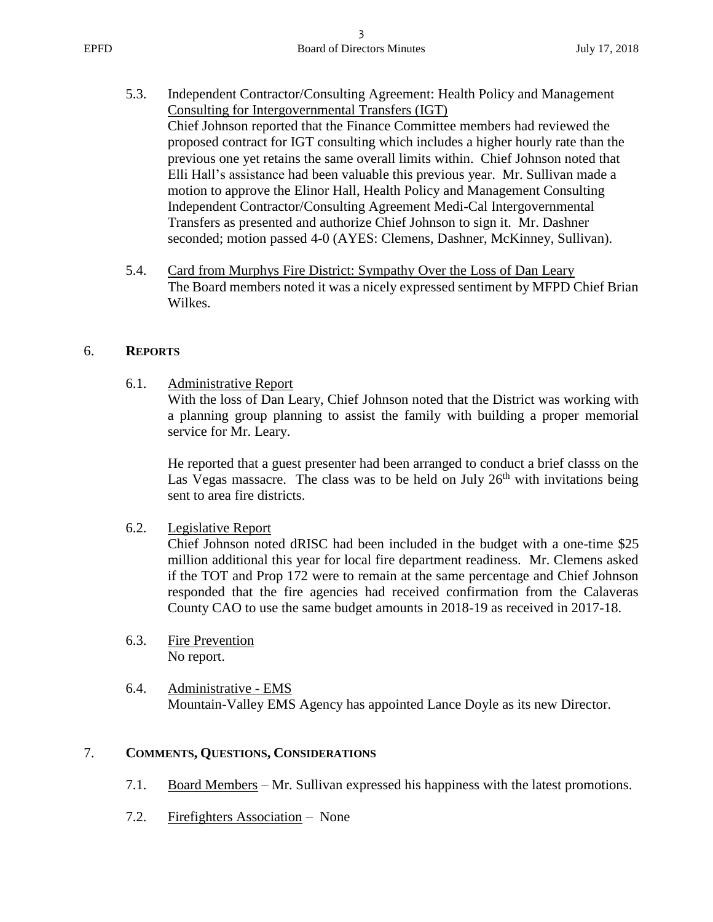- 5.3. Independent Contractor/Consulting Agreement: Health Policy and Management Consulting for Intergovernmental Transfers (IGT) Chief Johnson reported that the Finance Committee members had reviewed the proposed contract for IGT consulting which includes a higher hourly rate than the previous one yet retains the same overall limits within. Chief Johnson noted that Elli Hall's assistance had been valuable this previous year. Mr. Sullivan made a motion to approve the Elinor Hall, Health Policy and Management Consulting Independent Contractor/Consulting Agreement Medi-Cal Intergovernmental Transfers as presented and authorize Chief Johnson to sign it. Mr. Dashner seconded; motion passed 4-0 (AYES: Clemens, Dashner, McKinney, Sullivan).
- 5.4. Card from Murphys Fire District: Sympathy Over the Loss of Dan Leary The Board members noted it was a nicely expressed sentiment by MFPD Chief Brian Wilkes.

#### 6. **REPORTS**

6.1. Administrative Report

With the loss of Dan Leary, Chief Johnson noted that the District was working with a planning group planning to assist the family with building a proper memorial service for Mr. Leary.

He reported that a guest presenter had been arranged to conduct a brief classs on the Las Vegas massacre. The class was to be held on July  $26<sup>th</sup>$  with invitations being sent to area fire districts.

6.2. Legislative Report

Chief Johnson noted dRISC had been included in the budget with a one-time \$25 million additional this year for local fire department readiness. Mr. Clemens asked if the TOT and Prop 172 were to remain at the same percentage and Chief Johnson responded that the fire agencies had received confirmation from the Calaveras County CAO to use the same budget amounts in 2018-19 as received in 2017-18.

- 6.3. Fire Prevention No report.
- 6.4. Administrative EMS Mountain-Valley EMS Agency has appointed Lance Doyle as its new Director.

# 7. **COMMENTS, QUESTIONS, CONSIDERATIONS**

- 7.1. Board Members Mr. Sullivan expressed his happiness with the latest promotions.
- 7.2. Firefighters Association None